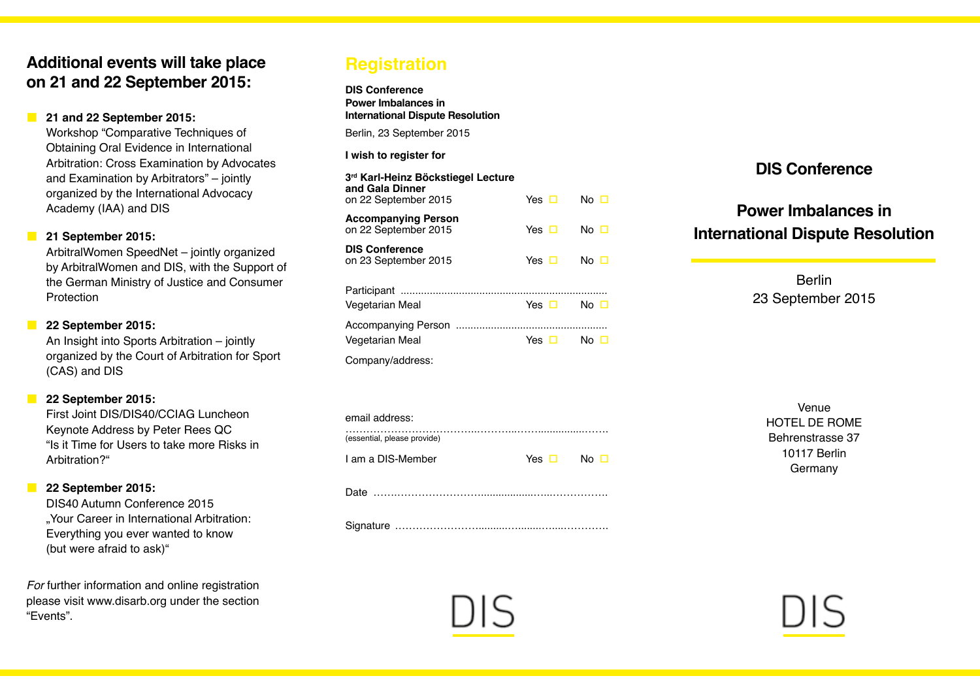## **Additional events will take place on 21 and 22 September 2015:**

## **21 and 22 September 2015:**

Workshop "Comparative Techniques of Obtaining Oral Evidence in International Arbitration: Cross Examination by Advocates and Examination by Arbitrators" – jointly organized by the International Advocacy Academy (IAA) and DIS

## **21 September 2015:**

ArbitralWomen SpeedNet – jointly organized by ArbitralWomen and DIS, with the Support of the German Ministry of Justice and Consumer **Protection** 

## **22 September 2015:**

An Insight into Sports Arbitration – jointly organized by the Court of Arbitration for Sport (CAS) and DIS

### **22 September 2015:**

First Joint DIS/DIS40/CCIAG Luncheon Keynote Address by Peter Rees QC "Is it Time for Users to take more Risks in Arbitration?"

## **22 September 2015:**

DIS40 Autumn Conference 2015 ..Your Career in International Arbitration: Everything you ever wanted to know (but were afraid to ask)"

*For* further information and online registration please visit www.disarb.org under the section "Events".

## **Registration**

**DIS Conference Power Imbalances in International Dispute Resolution**

Berlin, 23 September 2015

### **I wish to register for**

| 3 <sup>rd</sup> Karl-Heinz Böckstiegel Lecture<br>and Gala Dinner<br>on 22 September 2015 | Yes $\Box$ |       | No □      |  |
|-------------------------------------------------------------------------------------------|------------|-------|-----------|--|
| <b>Accompanying Person</b><br>on 22 September 2015                                        | Yes $\Box$ |       | No $\Box$ |  |
| <b>DIS Conference</b><br>on 23 September 2015                                             | Yes $\Box$ |       | No □      |  |
| Vegetarian Meal                                                                           |            | Yes □ | No $\Box$ |  |
| Accompanying Person<br>Vegetarian Meal                                                    |            | Yes □ | No □      |  |
| Company/address:                                                                          |            |       |           |  |

| email address:              |                      |  |
|-----------------------------|----------------------|--|
| (essential, please provide) |                      |  |
| I am a DIS-Member           | Yes $\Box$ No $\Box$ |  |

Date …….……………………..................…...…………….

Signature ……………………..........…........…....………….

## **DIS Conference**

# **Power Imbalances in International Dispute Resolution**

Berlin 23 September 2015

| Venue            |
|------------------|
| HOTEL DE ROME    |
| Behrenstrasse 37 |
| 10117 Berlin     |
| Germany          |